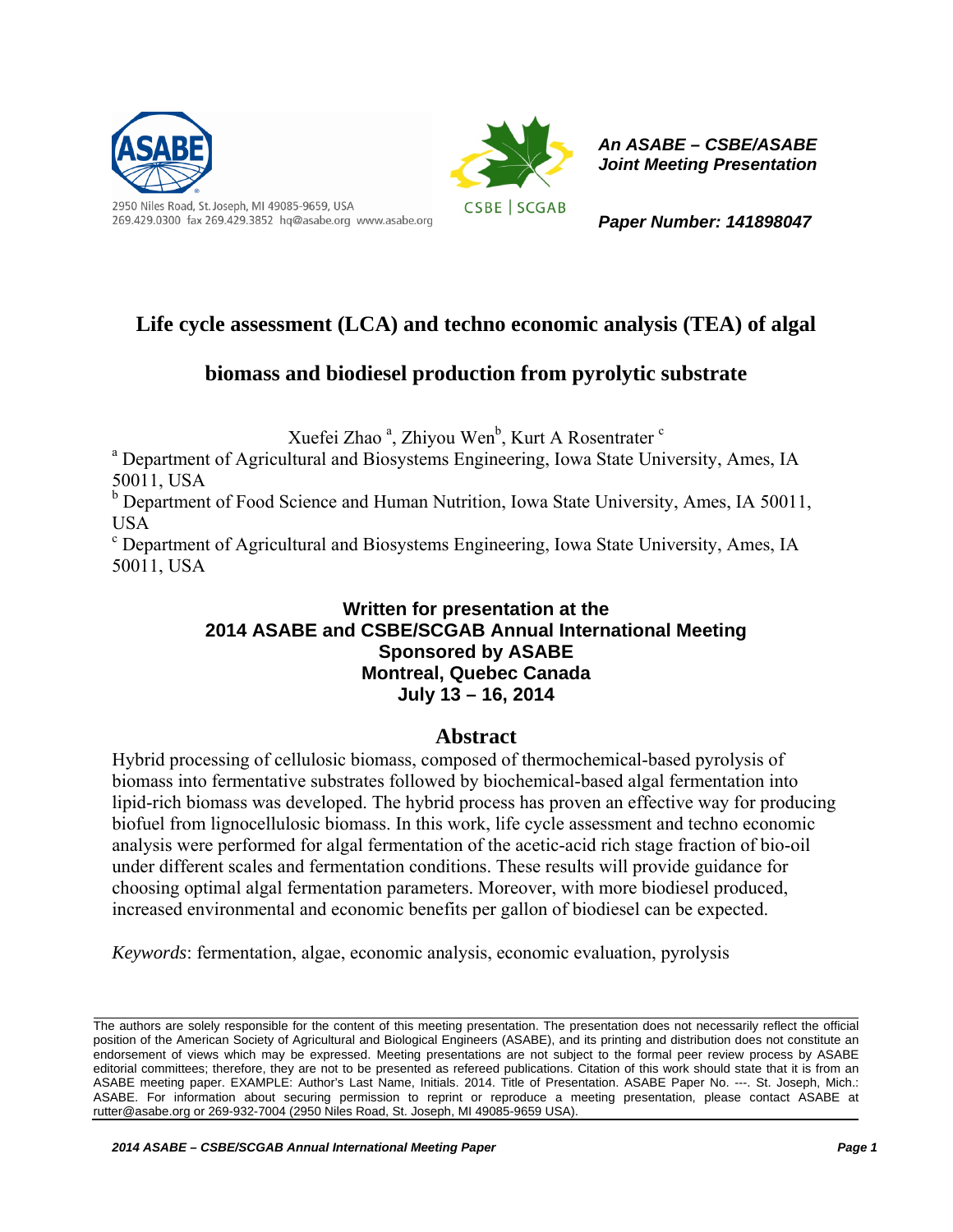

269.429.0300 fax 269.429.3852 hq@asabe.org www.asabe.org



*An ASABE – CSBE/ASABE Joint Meeting Presentation* 

*Paper Number: 141898047* 

# **Life cycle assessment (LCA) and techno economic analysis (TEA) of algal**

# **biomass and biodiesel production from pyrolytic substrate**

Xuefei Zhao<sup>a</sup>, Zhiyou Wen<sup>b</sup>, Kurt A Rosentrater<sup>c</sup>

<sup>a</sup> Department of Agricultural and Biosystems Engineering, Iowa State University, Ames, IA 50011, USA

<sup>b</sup> Department of Food Science and Human Nutrition, Iowa State University, Ames, IA 50011, USA

<sup>c</sup> Department of Agricultural and Biosystems Engineering, Iowa State University, Ames, IA 50011, USA

## **Written for presentation at the 2014 ASABE and CSBE/SCGAB Annual International Meeting Sponsored by ASABE Montreal, Quebec Canada July 13 – 16, 2014**

## **Abstract**

Hybrid processing of cellulosic biomass, composed of thermochemical-based pyrolysis of biomass into fermentative substrates followed by biochemical-based algal fermentation into lipid-rich biomass was developed. The hybrid process has proven an effective way for producing biofuel from lignocellulosic biomass. In this work, life cycle assessment and techno economic analysis were performed for algal fermentation of the acetic-acid rich stage fraction of bio-oil under different scales and fermentation conditions. These results will provide guidance for choosing optimal algal fermentation parameters. Moreover, with more biodiesel produced, increased environmental and economic benefits per gallon of biodiesel can be expected.

*Keywords*: fermentation, algae, economic analysis, economic evaluation, pyrolysis

The authors are solely responsible for the content of this meeting presentation. The presentation does not necessarily reflect the official position of the American Society of Agricultural and Biological Engineers (ASABE), and its printing and distribution does not constitute an endorsement of views which may be expressed. Meeting presentations are not subject to the formal peer review process by ASABE editorial committees; therefore, they are not to be presented as refereed publications. Citation of this work should state that it is from an ASABE meeting paper. EXAMPLE: Author's Last Name, Initials. 2014. Title of Presentation. ASABE Paper No. ---. St. Joseph, Mich.: ASABE. For information about securing permission to reprint or reproduce a meeting presentation, please contact ASABE at rutter@asabe.org or 269-932-7004 (2950 Niles Road, St. Joseph, MI 49085-9659 USA).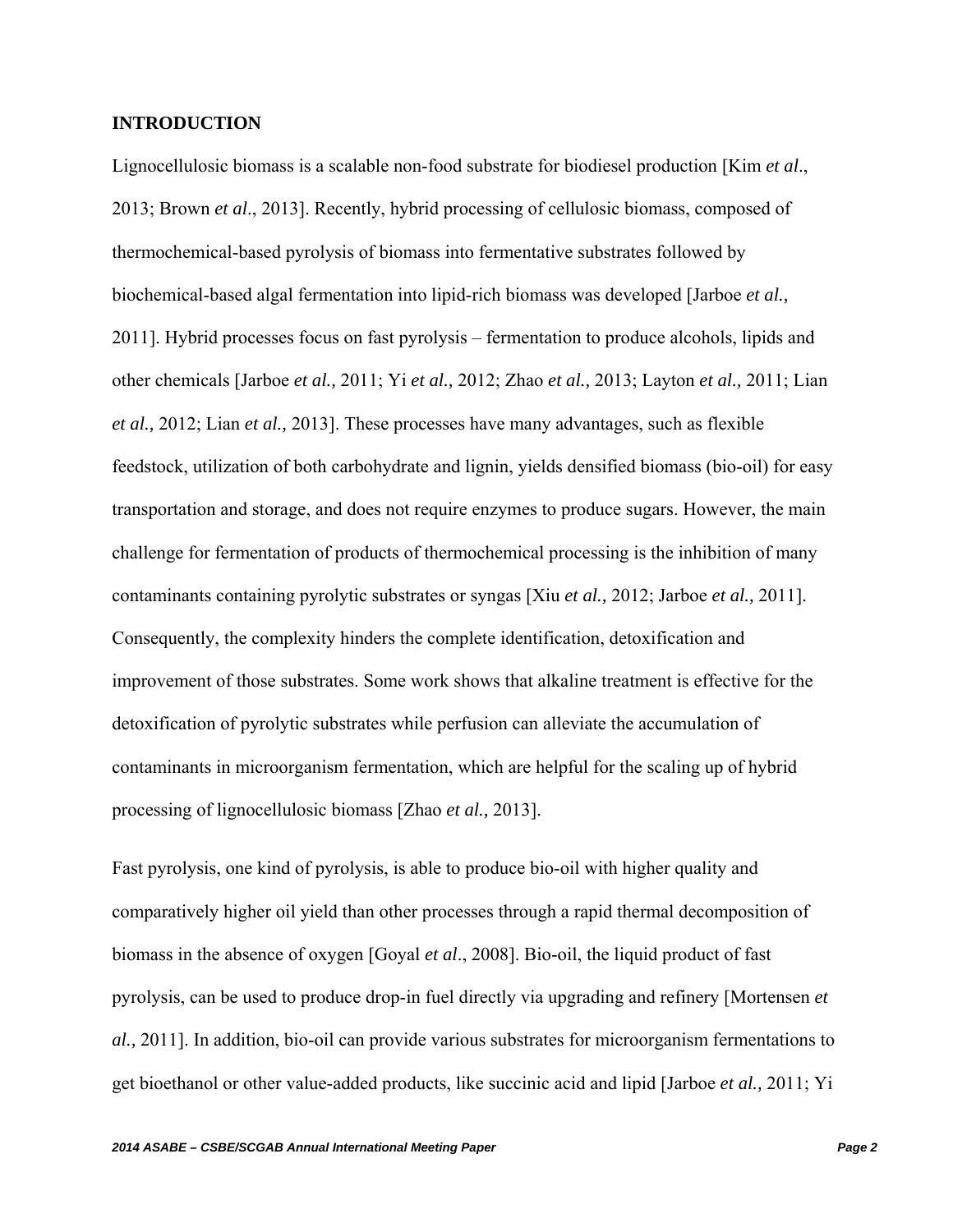## **INTRODUCTION**

Lignocellulosic biomass is a scalable non-food substrate for biodiesel production [Kim *et al*., 2013; Brown *et al*., 2013]. Recently, hybrid processing of cellulosic biomass, composed of thermochemical-based pyrolysis of biomass into fermentative substrates followed by biochemical-based algal fermentation into lipid-rich biomass was developed [Jarboe *et al.,* 2011]. Hybrid processes focus on fast pyrolysis – fermentation to produce alcohols, lipids and other chemicals [Jarboe *et al.,* 2011; Yi *et al.,* 2012; Zhao *et al.,* 2013; Layton *et al.,* 2011; Lian *et al.,* 2012; Lian *et al.,* 2013]. These processes have many advantages, such as flexible feedstock, utilization of both carbohydrate and lignin, yields densified biomass (bio-oil) for easy transportation and storage, and does not require enzymes to produce sugars. However, the main challenge for fermentation of products of thermochemical processing is the inhibition of many contaminants containing pyrolytic substrates or syngas [Xiu *et al.,* 2012; Jarboe *et al.,* 2011]. Consequently, the complexity hinders the complete identification, detoxification and improvement of those substrates. Some work shows that alkaline treatment is effective for the detoxification of pyrolytic substrates while perfusion can alleviate the accumulation of contaminants in microorganism fermentation, which are helpful for the scaling up of hybrid processing of lignocellulosic biomass [Zhao *et al.,* 2013].

Fast pyrolysis, one kind of pyrolysis, is able to produce bio-oil with higher quality and comparatively higher oil yield than other processes through a rapid thermal decomposition of biomass in the absence of oxygen [Goyal *et al*., 2008]. Bio-oil, the liquid product of fast pyrolysis, can be used to produce drop-in fuel directly via upgrading and refinery [Mortensen *et al.,* 2011]. In addition, bio-oil can provide various substrates for microorganism fermentations to get bioethanol or other value-added products, like succinic acid and lipid [Jarboe *et al.,* 2011; Yi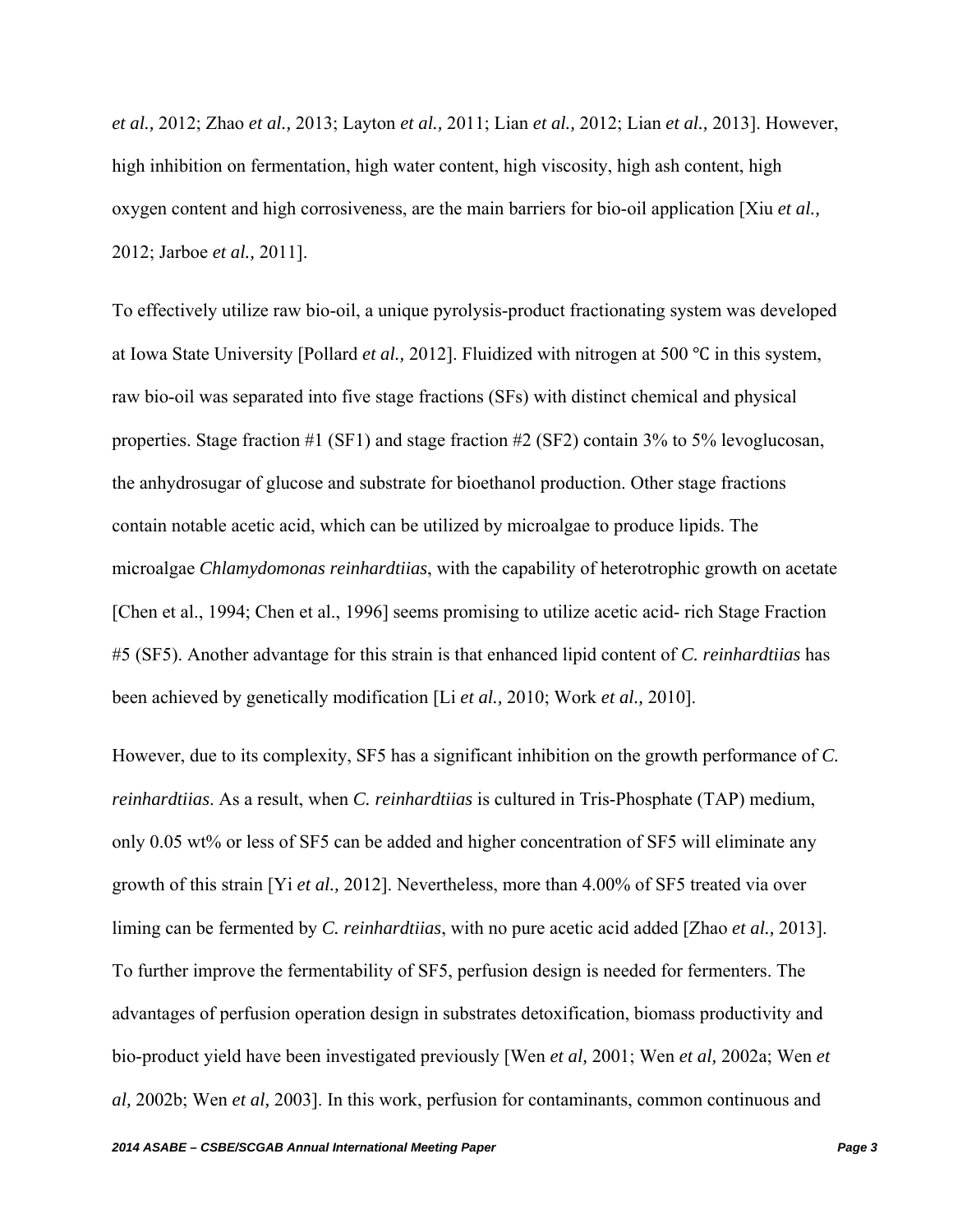*et al.,* 2012; Zhao *et al.,* 2013; Layton *et al.,* 2011; Lian *et al.,* 2012; Lian *et al.,* 2013]. However, high inhibition on fermentation, high water content, high viscosity, high ash content, high oxygen content and high corrosiveness, are the main barriers for bio-oil application [Xiu *et al.,*  2012; Jarboe *et al.,* 2011].

To effectively utilize raw bio-oil, a unique pyrolysis-product fractionating system was developed at Iowa State University [Pollard *et al.*, 2012]. Fluidized with nitrogen at 500 °C in this system, raw bio-oil was separated into five stage fractions (SFs) with distinct chemical and physical properties. Stage fraction #1 (SF1) and stage fraction #2 (SF2) contain 3% to 5% levoglucosan, the anhydrosugar of glucose and substrate for bioethanol production. Other stage fractions contain notable acetic acid, which can be utilized by microalgae to produce lipids. The microalgae *Chlamydomonas reinhardtiias*, with the capability of heterotrophic growth on acetate [Chen et al., 1994; Chen et al., 1996] seems promising to utilize acetic acid- rich Stage Fraction #5 (SF5). Another advantage for this strain is that enhanced lipid content of *C. reinhardtiias* has been achieved by genetically modification [Li *et al.,* 2010; Work *et al.,* 2010].

However, due to its complexity, SF5 has a significant inhibition on the growth performance of *C. reinhardtiias*. As a result, when *C. reinhardtiias* is cultured in Tris-Phosphate (TAP) medium, only 0.05 wt% or less of SF5 can be added and higher concentration of SF5 will eliminate any growth of this strain [Yi *et al.,* 2012]. Nevertheless, more than 4.00% of SF5 treated via over liming can be fermented by *C. reinhardtiias*, with no pure acetic acid added [Zhao *et al.,* 2013]. To further improve the fermentability of SF5, perfusion design is needed for fermenters. The advantages of perfusion operation design in substrates detoxification, biomass productivity and bio-product yield have been investigated previously [Wen *et al,* 2001; Wen *et al,* 2002a; Wen *et al,* 2002b; Wen *et al,* 2003]. In this work, perfusion for contaminants, common continuous and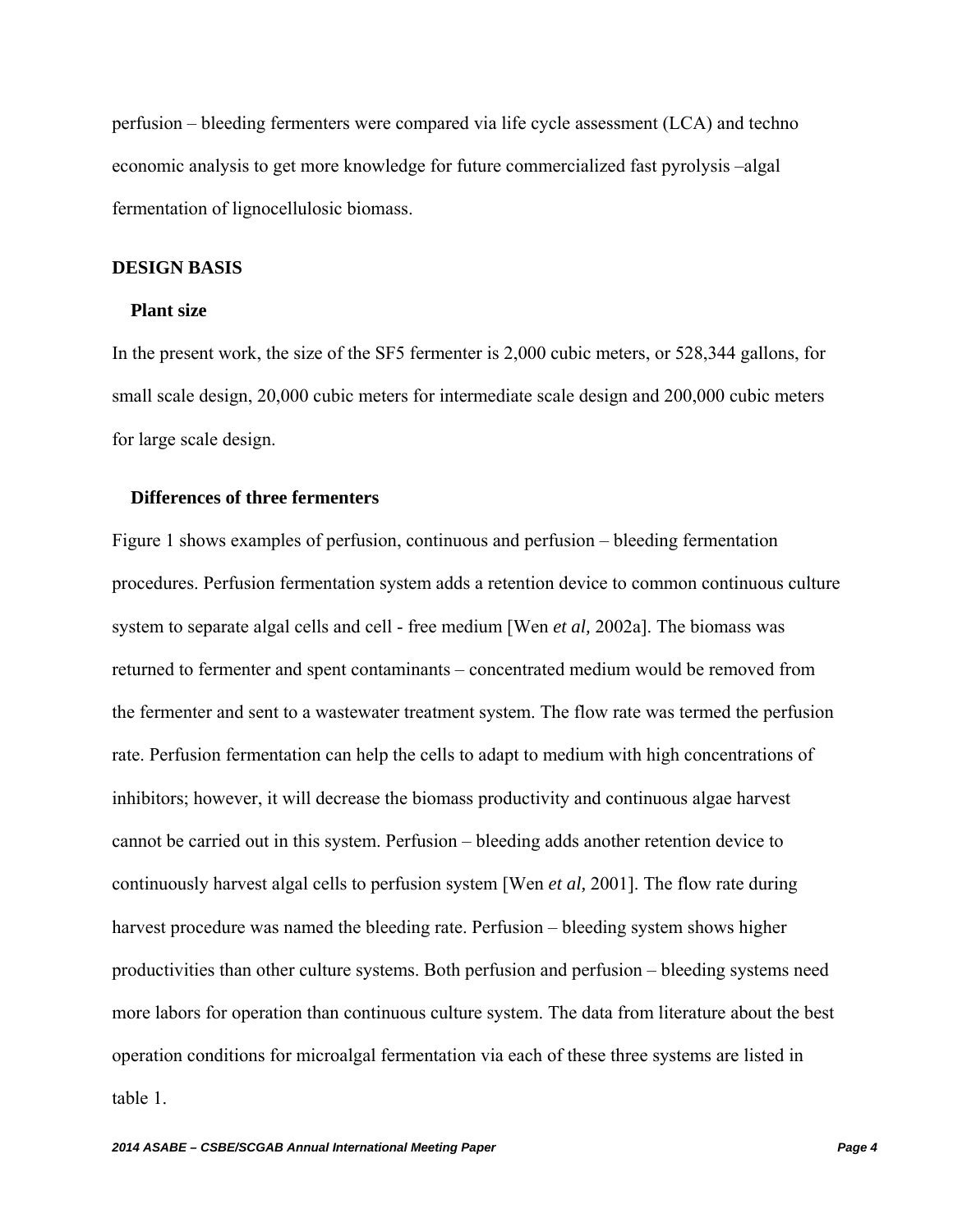perfusion – bleeding fermenters were compared via life cycle assessment (LCA) and techno economic analysis to get more knowledge for future commercialized fast pyrolysis –algal fermentation of lignocellulosic biomass.

#### **DESIGN BASIS**

#### **Plant size**

In the present work, the size of the SF5 fermenter is 2,000 cubic meters, or 528,344 gallons, for small scale design, 20,000 cubic meters for intermediate scale design and 200,000 cubic meters for large scale design.

## **Differences of three fermenters**

Figure 1 shows examples of perfusion, continuous and perfusion – bleeding fermentation procedures. Perfusion fermentation system adds a retention device to common continuous culture system to separate algal cells and cell - free medium [Wen *et al,* 2002a]. The biomass was returned to fermenter and spent contaminants – concentrated medium would be removed from the fermenter and sent to a wastewater treatment system. The flow rate was termed the perfusion rate. Perfusion fermentation can help the cells to adapt to medium with high concentrations of inhibitors; however, it will decrease the biomass productivity and continuous algae harvest cannot be carried out in this system. Perfusion – bleeding adds another retention device to continuously harvest algal cells to perfusion system [Wen *et al,* 2001]. The flow rate during harvest procedure was named the bleeding rate. Perfusion – bleeding system shows higher productivities than other culture systems. Both perfusion and perfusion – bleeding systems need more labors for operation than continuous culture system. The data from literature about the best operation conditions for microalgal fermentation via each of these three systems are listed in table 1.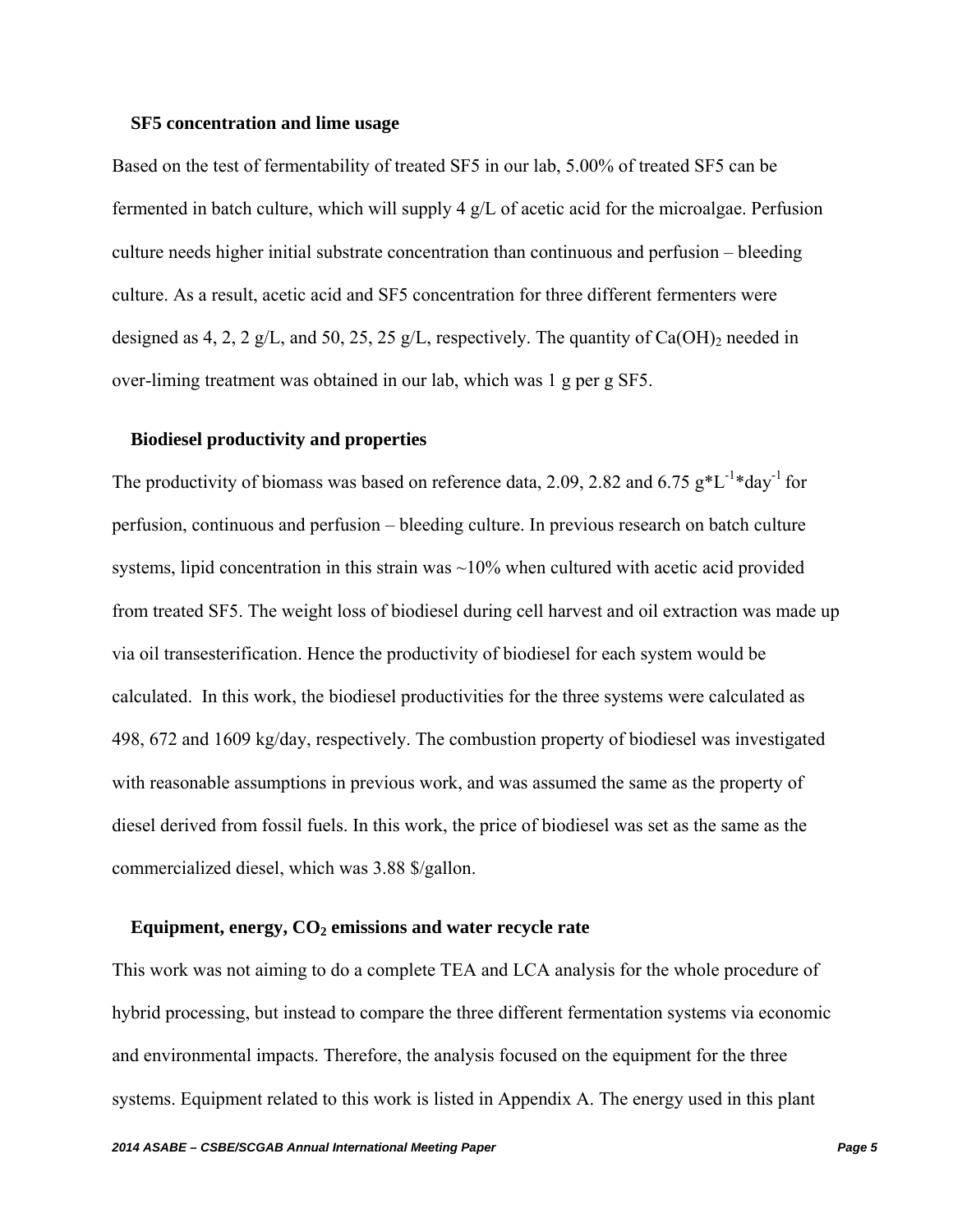### **SF5 concentration and lime usage**

Based on the test of fermentability of treated SF5 in our lab, 5.00% of treated SF5 can be fermented in batch culture, which will supply 4 g/L of acetic acid for the microalgae. Perfusion culture needs higher initial substrate concentration than continuous and perfusion – bleeding culture. As a result, acetic acid and SF5 concentration for three different fermenters were designed as 4, 2, 2 g/L, and 50, 25, 25 g/L, respectively. The quantity of  $Ca(OH)_2$  needed in over-liming treatment was obtained in our lab, which was 1 g per g SF5.

#### **Biodiesel productivity and properties**

The productivity of biomass was based on reference data, 2.09, 2.82 and 6.75  $g*L^{-1}*day^{-1}$  for perfusion, continuous and perfusion – bleeding culture. In previous research on batch culture systems, lipid concentration in this strain was  $\sim$ 10% when cultured with acetic acid provided from treated SF5. The weight loss of biodiesel during cell harvest and oil extraction was made up via oil transesterification. Hence the productivity of biodiesel for each system would be calculated. In this work, the biodiesel productivities for the three systems were calculated as 498, 672 and 1609 kg/day, respectively. The combustion property of biodiesel was investigated with reasonable assumptions in previous work, and was assumed the same as the property of diesel derived from fossil fuels. In this work, the price of biodiesel was set as the same as the commercialized diesel, which was 3.88 \$/gallon.

### Equipment, energy,  $CO<sub>2</sub>$  emissions and water recycle rate

This work was not aiming to do a complete TEA and LCA analysis for the whole procedure of hybrid processing, but instead to compare the three different fermentation systems via economic and environmental impacts. Therefore, the analysis focused on the equipment for the three systems. Equipment related to this work is listed in Appendix A. The energy used in this plant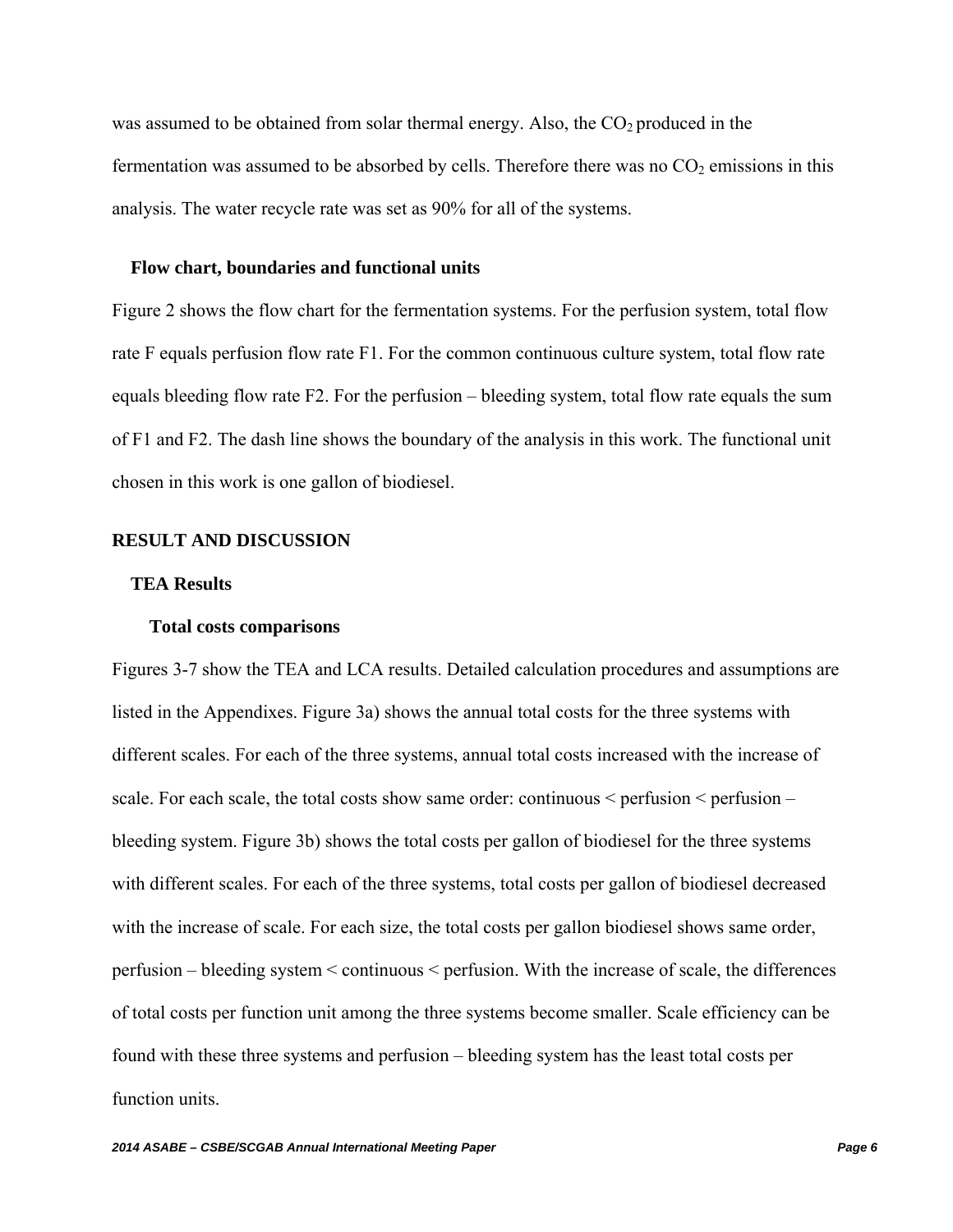was assumed to be obtained from solar thermal energy. Also, the  $CO<sub>2</sub>$  produced in the fermentation was assumed to be absorbed by cells. Therefore there was no  $CO<sub>2</sub>$  emissions in this analysis. The water recycle rate was set as 90% for all of the systems.

### **Flow chart, boundaries and functional units**

Figure 2 shows the flow chart for the fermentation systems. For the perfusion system, total flow rate F equals perfusion flow rate F1. For the common continuous culture system, total flow rate equals bleeding flow rate F2. For the perfusion – bleeding system, total flow rate equals the sum of F1 and F2. The dash line shows the boundary of the analysis in this work. The functional unit chosen in this work is one gallon of biodiesel.

#### **RESULT AND DISCUSSION**

#### **TEA Results**

#### **Total costs comparisons**

Figures 3-7 show the TEA and LCA results. Detailed calculation procedures and assumptions are listed in the Appendixes. Figure 3a) shows the annual total costs for the three systems with different scales. For each of the three systems, annual total costs increased with the increase of scale. For each scale, the total costs show same order: continuous < perfusion < perfusion – bleeding system. Figure 3b) shows the total costs per gallon of biodiesel for the three systems with different scales. For each of the three systems, total costs per gallon of biodiesel decreased with the increase of scale. For each size, the total costs per gallon biodiesel shows same order, perfusion – bleeding system < continuous < perfusion. With the increase of scale, the differences of total costs per function unit among the three systems become smaller. Scale efficiency can be found with these three systems and perfusion – bleeding system has the least total costs per function units.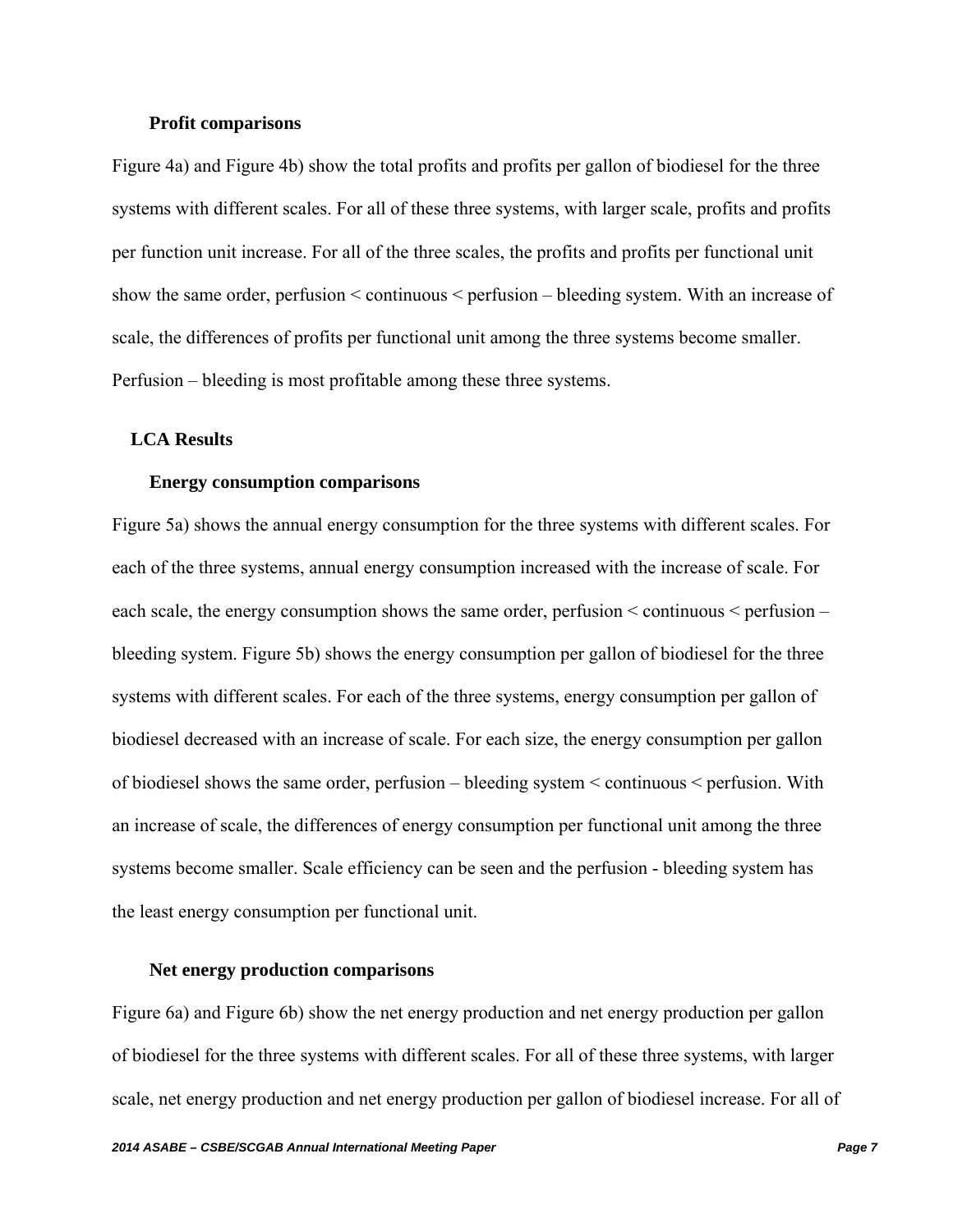#### **Profit comparisons**

Figure 4a) and Figure 4b) show the total profits and profits per gallon of biodiesel for the three systems with different scales. For all of these three systems, with larger scale, profits and profits per function unit increase. For all of the three scales, the profits and profits per functional unit show the same order, perfusion < continuous < perfusion – bleeding system. With an increase of scale, the differences of profits per functional unit among the three systems become smaller. Perfusion – bleeding is most profitable among these three systems.

### **LCA Results**

### **Energy consumption comparisons**

Figure 5a) shows the annual energy consumption for the three systems with different scales. For each of the three systems, annual energy consumption increased with the increase of scale. For each scale, the energy consumption shows the same order, perfusion < continuous < perfusion – bleeding system. Figure 5b) shows the energy consumption per gallon of biodiesel for the three systems with different scales. For each of the three systems, energy consumption per gallon of biodiesel decreased with an increase of scale. For each size, the energy consumption per gallon of biodiesel shows the same order, perfusion – bleeding system < continuous < perfusion. With an increase of scale, the differences of energy consumption per functional unit among the three systems become smaller. Scale efficiency can be seen and the perfusion - bleeding system has the least energy consumption per functional unit.

### **Net energy production comparisons**

Figure 6a) and Figure 6b) show the net energy production and net energy production per gallon of biodiesel for the three systems with different scales. For all of these three systems, with larger scale, net energy production and net energy production per gallon of biodiesel increase. For all of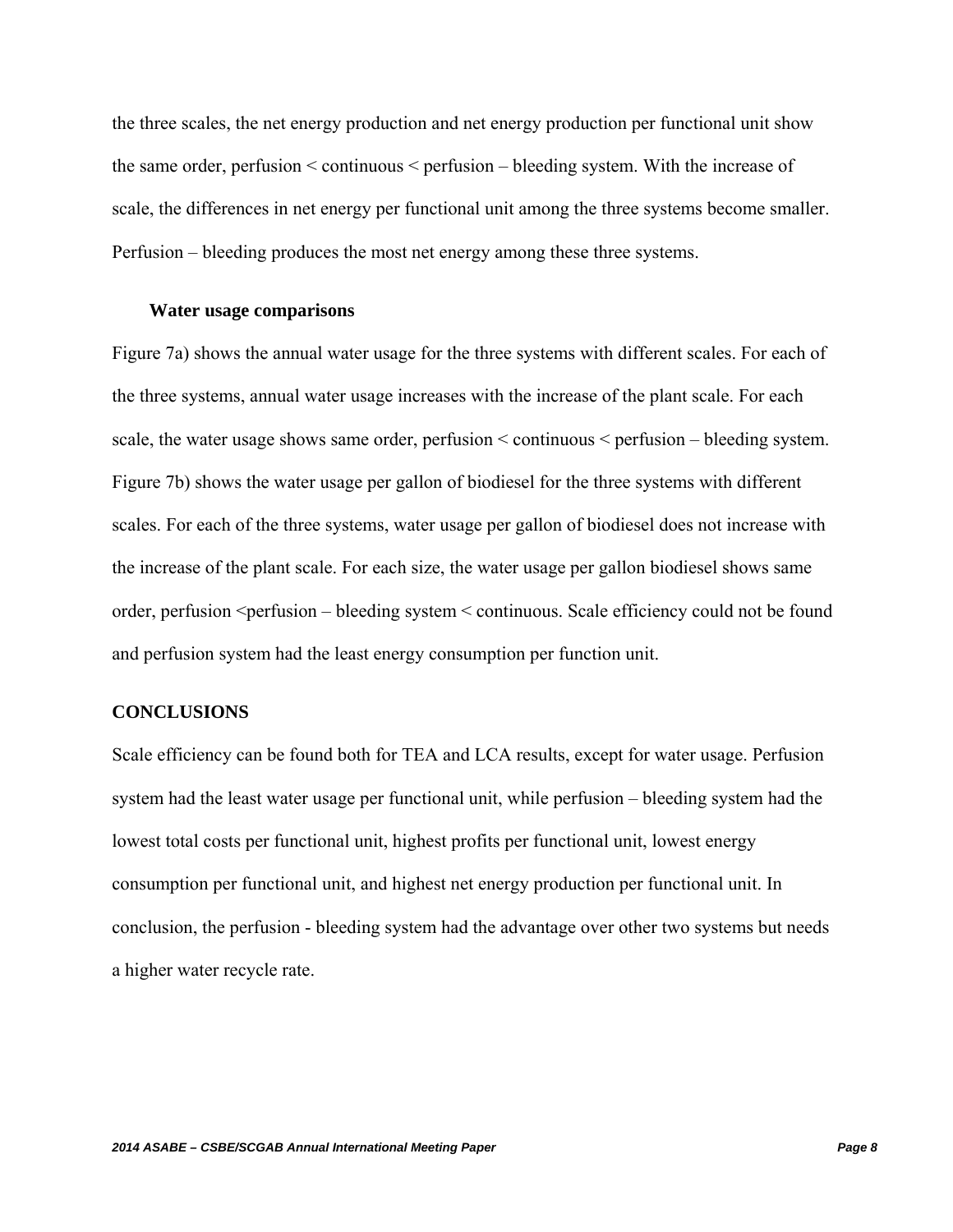the three scales, the net energy production and net energy production per functional unit show the same order, perfusion < continuous < perfusion – bleeding system. With the increase of scale, the differences in net energy per functional unit among the three systems become smaller. Perfusion – bleeding produces the most net energy among these three systems.

#### **Water usage comparisons**

Figure 7a) shows the annual water usage for the three systems with different scales. For each of the three systems, annual water usage increases with the increase of the plant scale. For each scale, the water usage shows same order, perfusion < continuous < perfusion – bleeding system. Figure 7b) shows the water usage per gallon of biodiesel for the three systems with different scales. For each of the three systems, water usage per gallon of biodiesel does not increase with the increase of the plant scale. For each size, the water usage per gallon biodiesel shows same order, perfusion <perfusion – bleeding system < continuous. Scale efficiency could not be found and perfusion system had the least energy consumption per function unit.

## **CONCLUSIONS**

Scale efficiency can be found both for TEA and LCA results, except for water usage. Perfusion system had the least water usage per functional unit, while perfusion – bleeding system had the lowest total costs per functional unit, highest profits per functional unit, lowest energy consumption per functional unit, and highest net energy production per functional unit. In conclusion, the perfusion - bleeding system had the advantage over other two systems but needs a higher water recycle rate.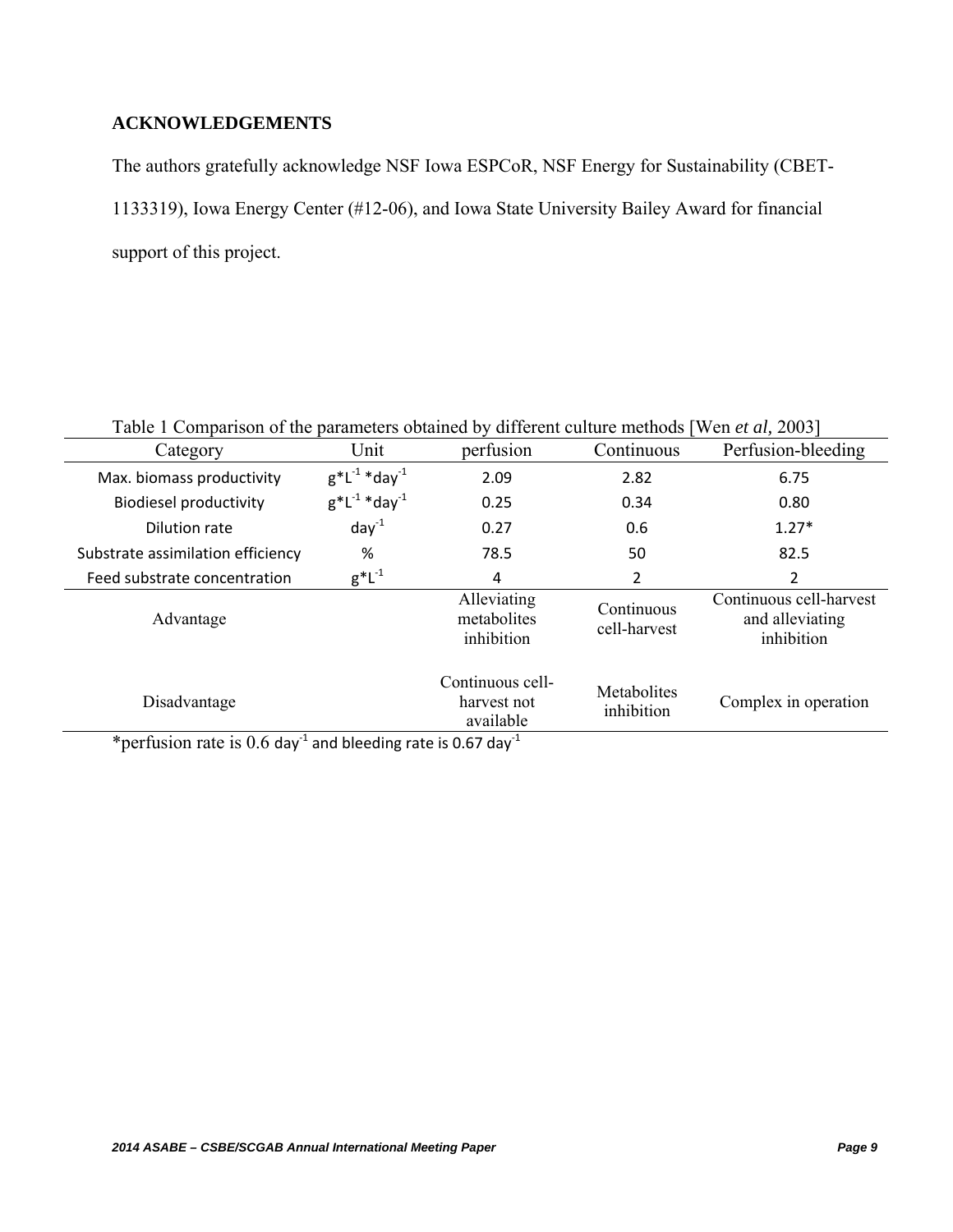## **ACKNOWLEDGEMENTS**

The authors gratefully acknowledge NSF Iowa ESPCoR, NSF Energy for Sustainability (CBET-1133319), Iowa Energy Center (#12-06), and Iowa State University Bailey Award for financial support of this project.

| Table 1 Comparison of the parameters obtained by different culture methods [Wen et al, 2003] |                        |                                              |                            |                                                          |  |  |
|----------------------------------------------------------------------------------------------|------------------------|----------------------------------------------|----------------------------|----------------------------------------------------------|--|--|
| Category                                                                                     | Unit                   | perfusion                                    | Continuous                 | Perfusion-bleeding                                       |  |  |
| Max. biomass productivity                                                                    | $g^*L^{-1} * day^{-1}$ | 2.09                                         | 2.82                       | 6.75                                                     |  |  |
| <b>Biodiesel productivity</b>                                                                | $g^*L^{-1} * day^{-1}$ | 0.25                                         | 0.34                       | 0.80                                                     |  |  |
| Dilution rate                                                                                | $day^{-1}$             | 0.27                                         | 0.6                        | $1.27*$                                                  |  |  |
| Substrate assimilation efficiency                                                            | %                      | 78.5                                         | 50                         | 82.5                                                     |  |  |
| Feed substrate concentration                                                                 | $g^*L^{-1}$            | 4                                            | 2                          | 2                                                        |  |  |
| Advantage                                                                                    |                        | Alleviating<br>metabolites<br>inhibition     | Continuous<br>cell-harvest | Continuous cell-harvest<br>and alleviating<br>inhibition |  |  |
| Disadvantage<br>$\overline{a}$                                                               |                        | Continuous cell-<br>harvest not<br>available | Metabolites<br>inhibition  | Complex in operation                                     |  |  |

\*perfusion rate is  $0.6$  day<sup>-1</sup> and bleeding rate is 0.67 day<sup>-1</sup>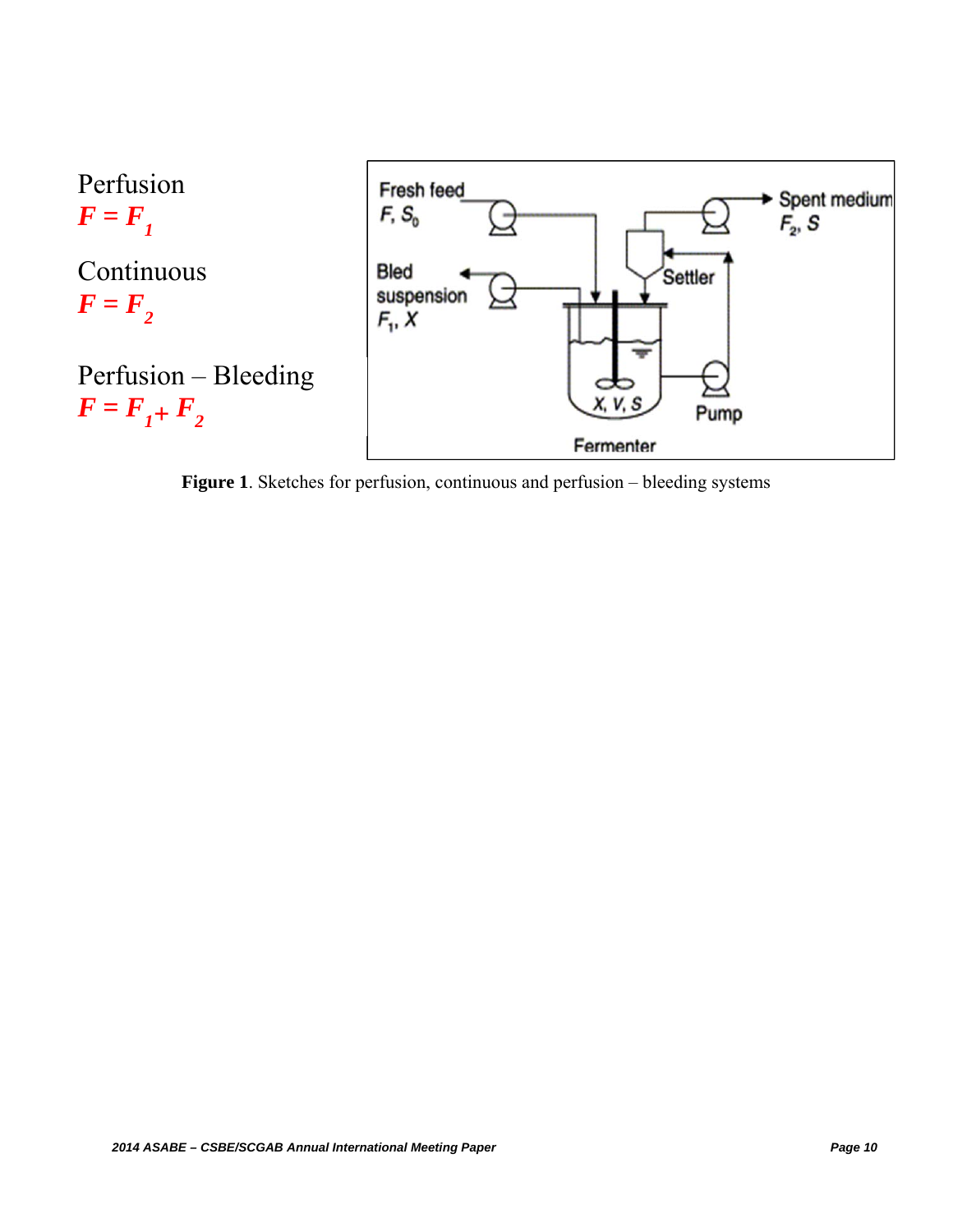

**Figure 1**. Sketches for perfusion, continuous and perfusion – bleeding systems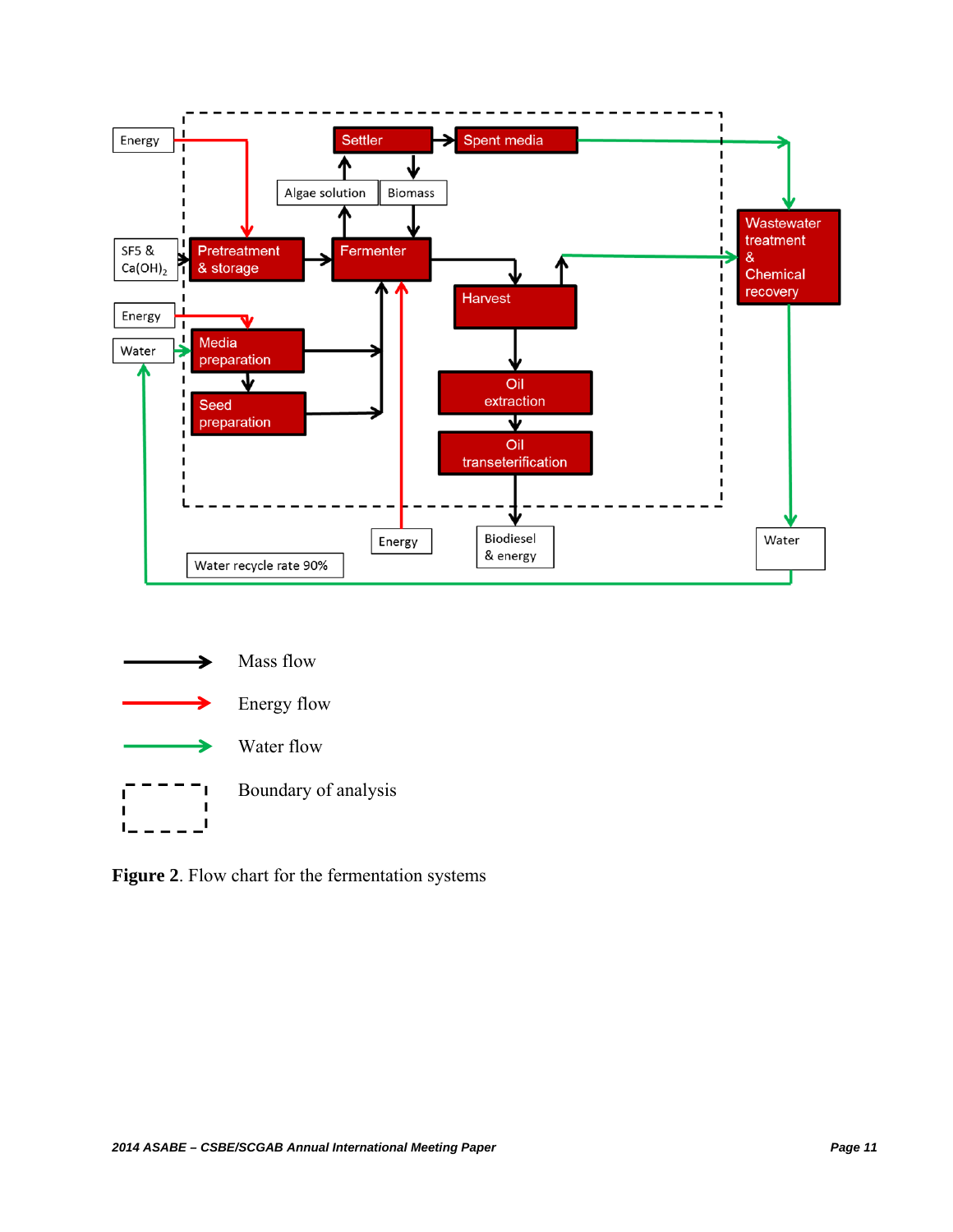



**Figure 2**. Flow chart for the fermentation systems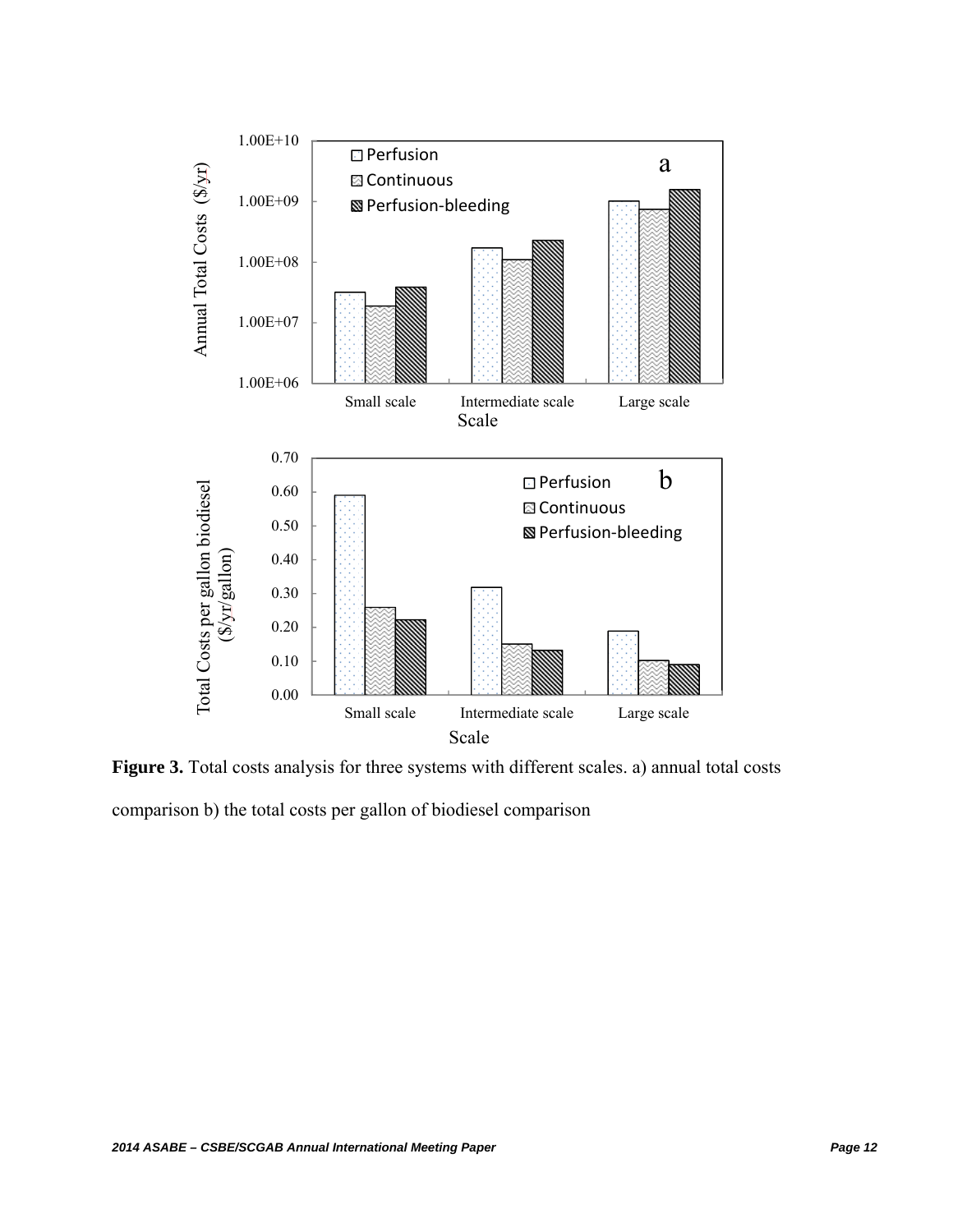

Figure 3. Total costs analysis for three systems with different scales. a) annual total costs comparison b) the total costs per gallon of biodiesel comparison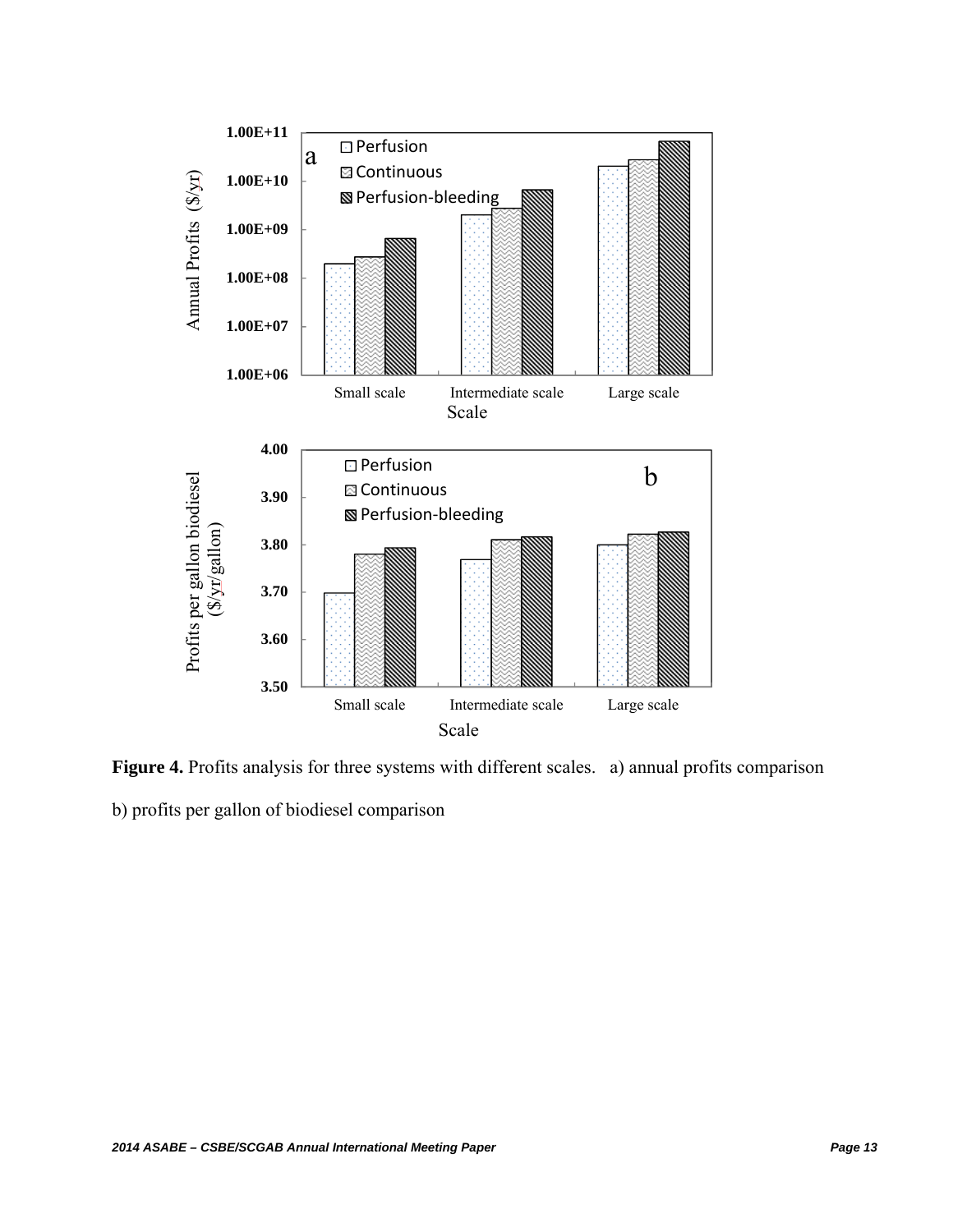

**Figure 4.** Profits analysis for three systems with different scales.a) annual profits comparison

b) profits per gallon of biodiesel comparison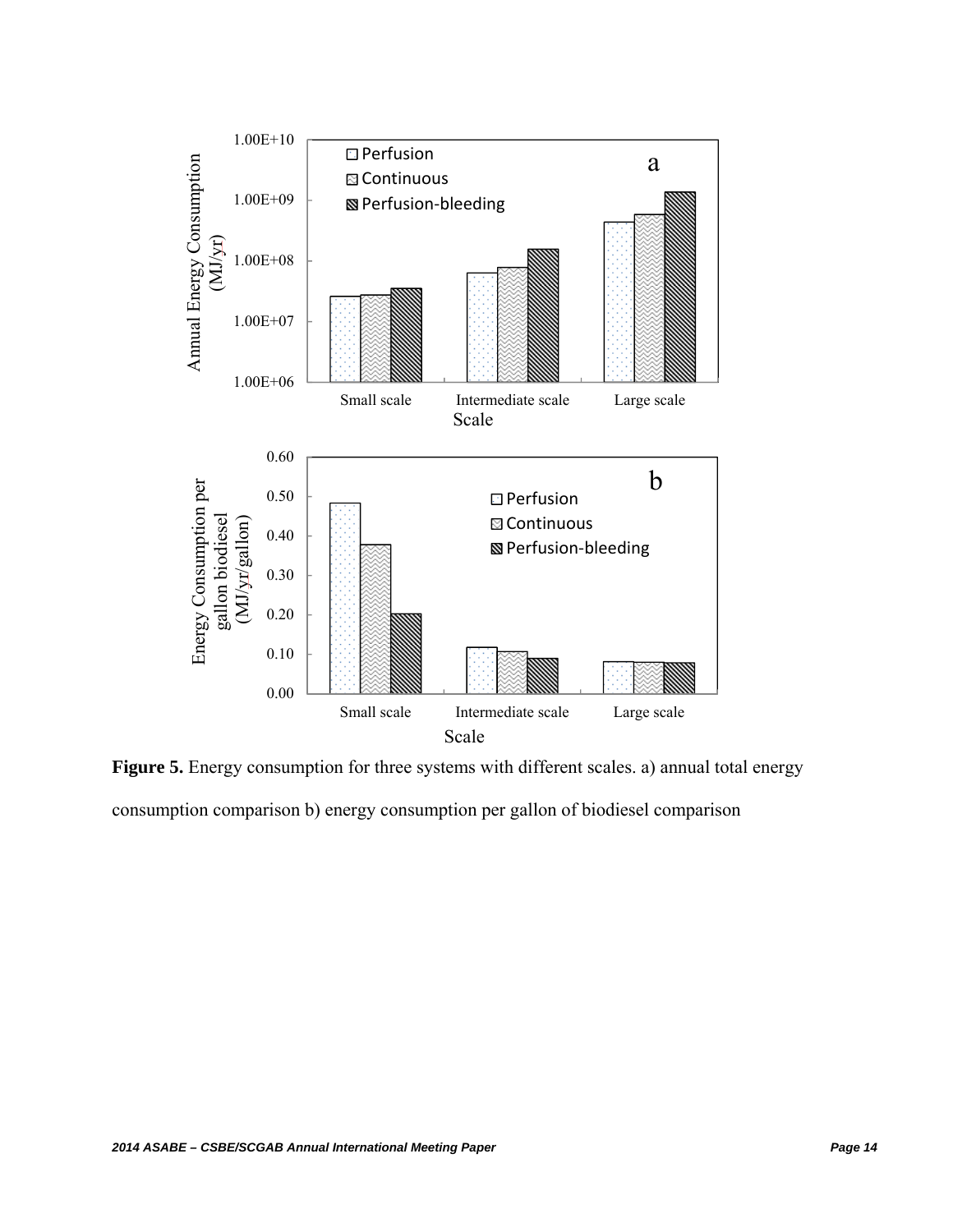

Figure 5. Energy consumption for three systems with different scales. a) annual total energy consumption comparison b) energy consumption per gallon of biodiesel comparison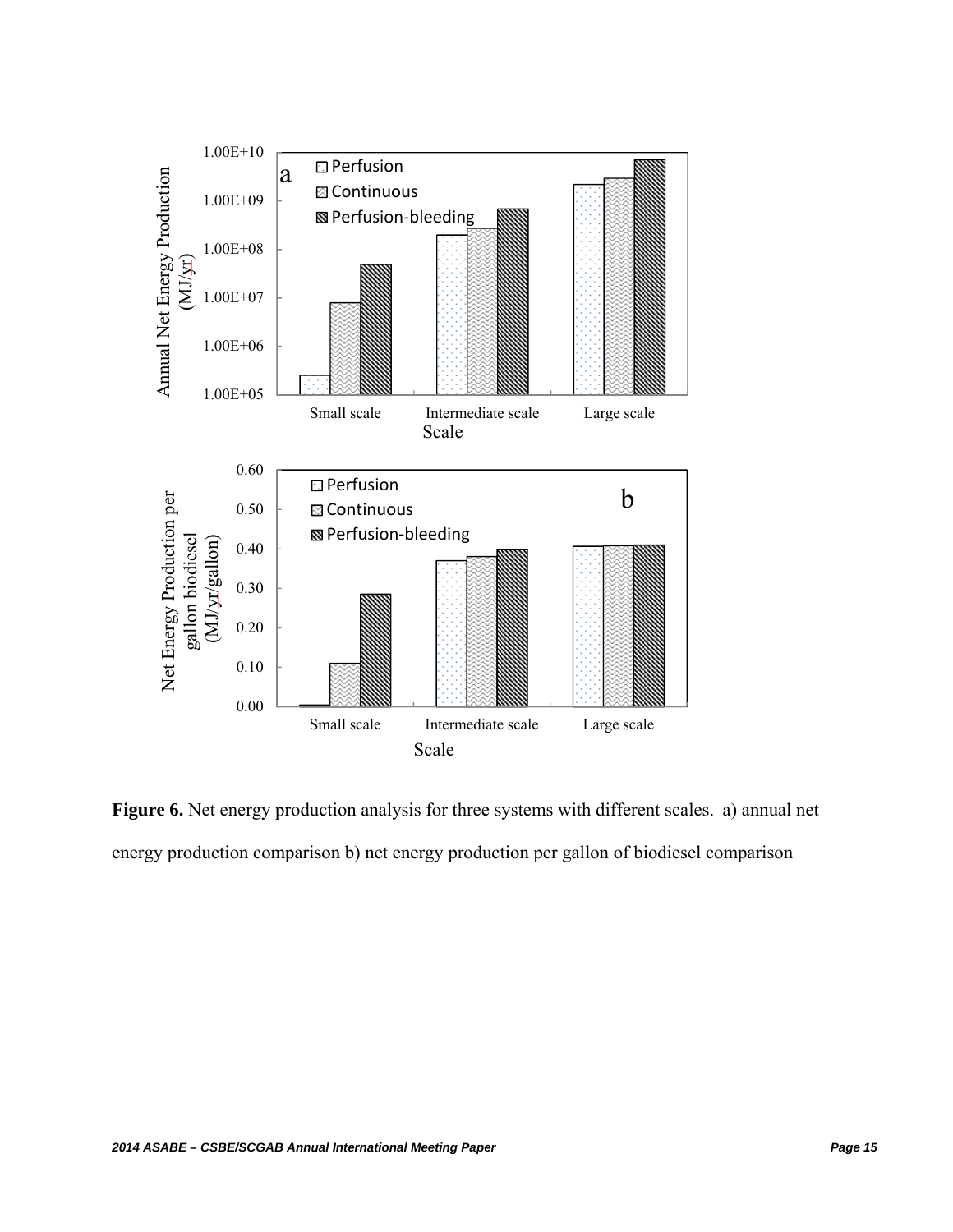

Figure 6. Net energy production analysis for three systems with different scales. a) annual net energy production comparison b) net energy production per gallon of biodiesel comparison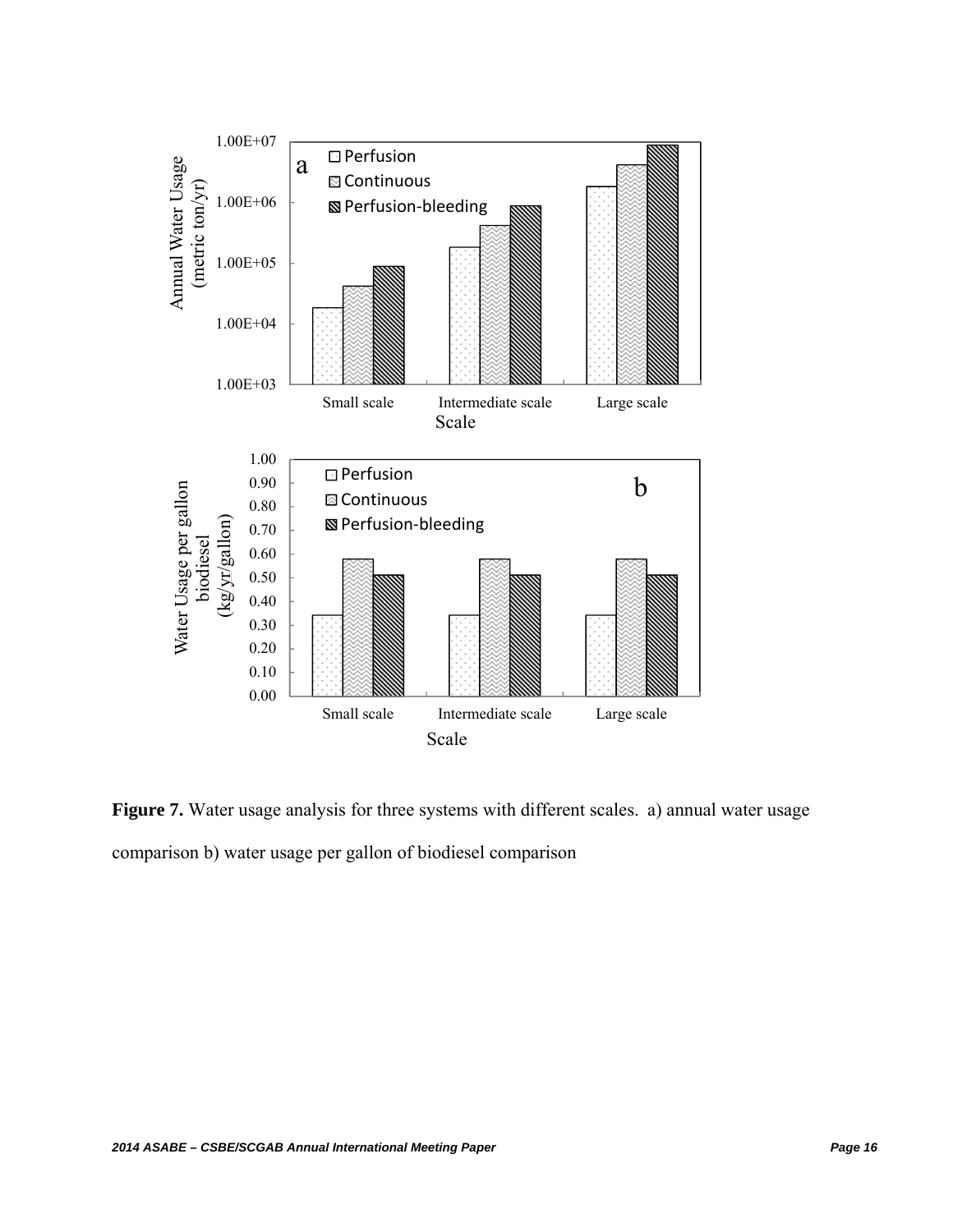

Figure 7. Water usage analysis for three systems with different scales. a) annual water usage comparison b) water usage per gallon of biodiesel comparison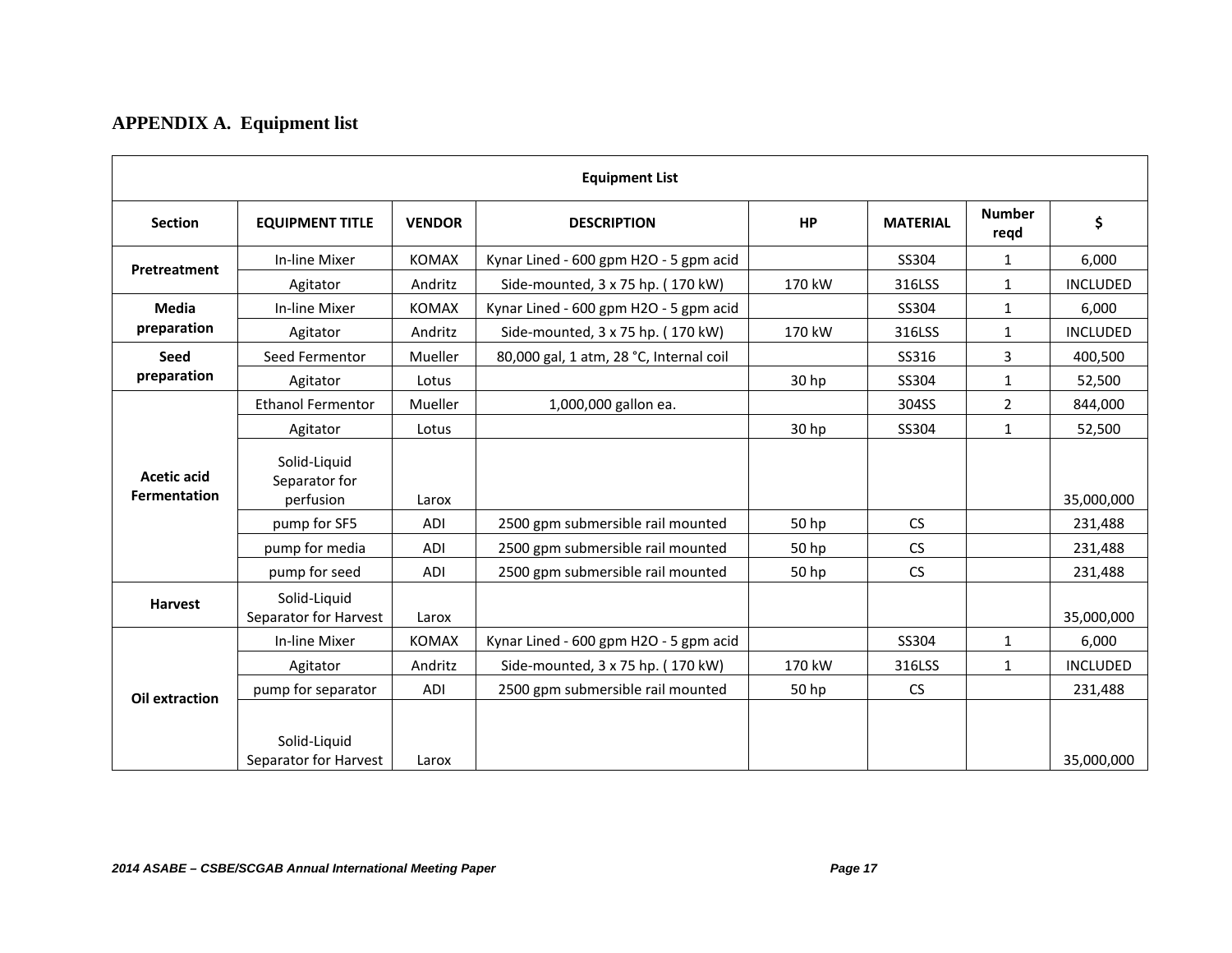# **APPENDIX A. Equipment list**

| <b>Equipment List</b>                     |                                            |               |                                         |           |                 |                       |                 |
|-------------------------------------------|--------------------------------------------|---------------|-----------------------------------------|-----------|-----------------|-----------------------|-----------------|
| <b>Section</b>                            | <b>EQUIPMENT TITLE</b>                     | <b>VENDOR</b> | <b>DESCRIPTION</b>                      | <b>HP</b> | <b>MATERIAL</b> | <b>Number</b><br>regd | \$              |
| Pretreatment                              | In-line Mixer                              | <b>KOMAX</b>  | Kynar Lined - 600 gpm H2O - 5 gpm acid  |           | SS304           | 1                     | 6,000           |
|                                           | Agitator                                   | Andritz       | Side-mounted, 3 x 75 hp. (170 kW)       | 170 kW    | 316LSS          | 1                     | <b>INCLUDED</b> |
| <b>Media</b><br>preparation               | In-line Mixer                              | <b>KOMAX</b>  | Kynar Lined - 600 gpm H2O - 5 gpm acid  |           | SS304           | 1                     | 6,000           |
|                                           | Agitator                                   | Andritz       | Side-mounted, 3 x 75 hp. (170 kW)       | 170 kW    | 316LSS          | $\mathbf{1}$          | <b>INCLUDED</b> |
| Seed                                      | Seed Fermentor                             | Mueller       | 80,000 gal, 1 atm, 28 °C, Internal coil |           | SS316           | 3                     | 400,500         |
| preparation                               | Agitator                                   | Lotus         |                                         | 30 hp     | SS304           | $\mathbf{1}$          | 52,500          |
| <b>Acetic acid</b><br><b>Fermentation</b> | <b>Ethanol Fermentor</b>                   | Mueller       | 1,000,000 gallon ea.                    |           | 304SS           | $\overline{2}$        | 844,000         |
|                                           | Agitator                                   | Lotus         |                                         | 30 hp     | SS304           | 1                     | 52,500          |
|                                           | Solid-Liquid<br>Separator for<br>perfusion | Larox         |                                         |           |                 |                       | 35,000,000      |
|                                           | pump for SF5                               | ADI           | 2500 gpm submersible rail mounted       | 50 hp     | <b>CS</b>       |                       | 231,488         |
|                                           | pump for media                             | ADI           | 2500 gpm submersible rail mounted       | 50 hp     | CS              |                       | 231,488         |
|                                           | pump for seed                              | ADI           | 2500 gpm submersible rail mounted       | 50 hp     | <b>CS</b>       |                       | 231,488         |
| <b>Harvest</b>                            | Solid-Liquid<br>Separator for Harvest      | Larox         |                                         |           |                 |                       | 35,000,000      |
|                                           | In-line Mixer                              | <b>KOMAX</b>  | Kynar Lined - 600 gpm H2O - 5 gpm acid  |           | SS304           | 1                     | 6,000           |
| Oil extraction                            | Agitator                                   | Andritz       | Side-mounted, 3 x 75 hp. (170 kW)       | 170 kW    | 316LSS          | $\mathbf{1}$          | <b>INCLUDED</b> |
|                                           | pump for separator                         | ADI           | 2500 gpm submersible rail mounted       | 50 hp     | <b>CS</b>       |                       | 231,488         |
|                                           | Solid-Liquid<br>Separator for Harvest      | Larox         |                                         |           |                 |                       | 35,000,000      |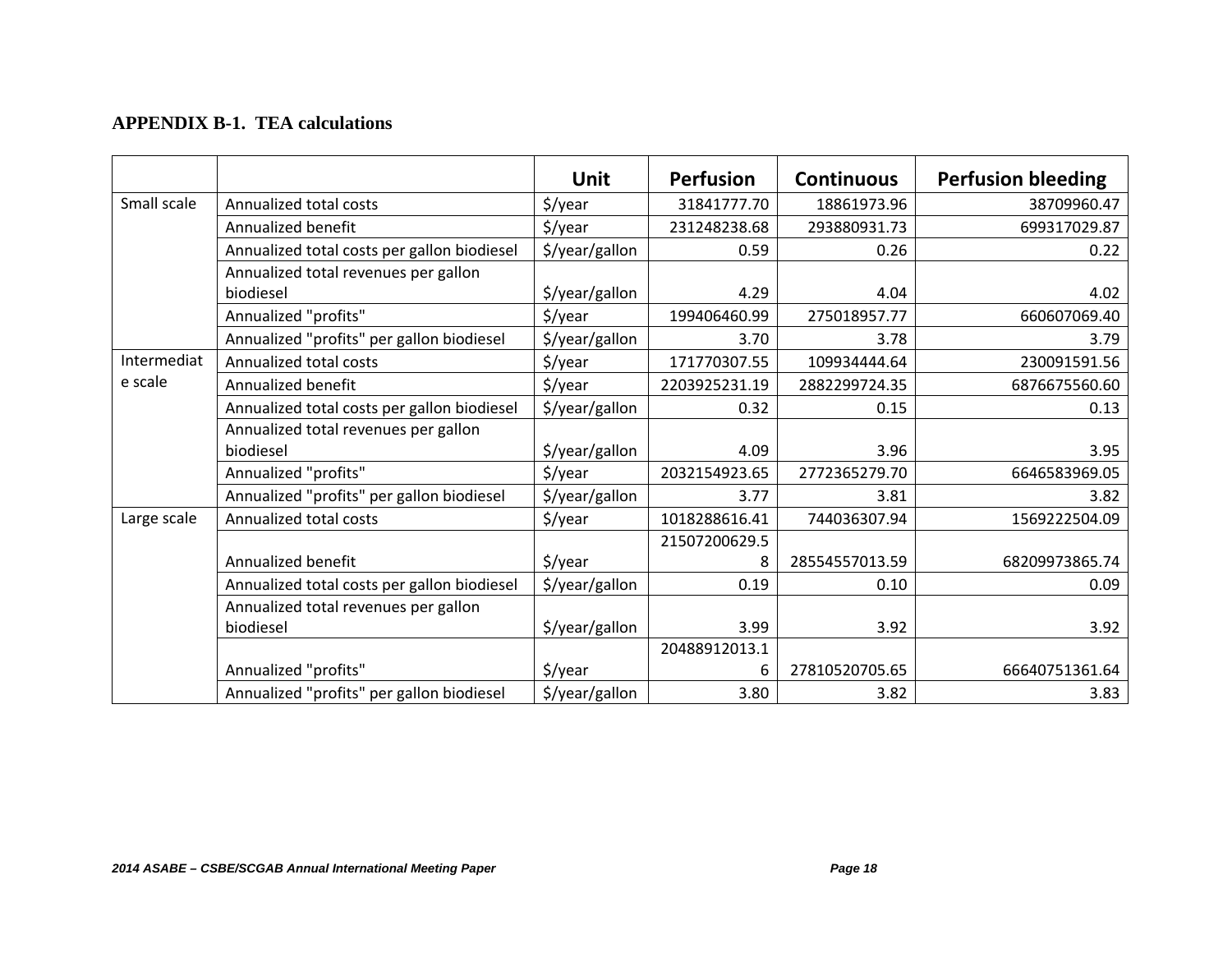## **APPENDIX B-1. TEA calculations**

|             |                                             | Unit                | <b>Perfusion</b> | <b>Continuous</b> | <b>Perfusion bleeding</b> |
|-------------|---------------------------------------------|---------------------|------------------|-------------------|---------------------------|
| Small scale | Annualized total costs                      | $\frac{1}{2}$ /year | 31841777.70      | 18861973.96       | 38709960.47               |
|             | Annualized benefit                          | $\frac{2}{3}$ /year | 231248238.68     | 293880931.73      | 699317029.87              |
|             | Annualized total costs per gallon biodiesel | \$/year/gallon      | 0.59             | 0.26              | 0.22                      |
|             | Annualized total revenues per gallon        |                     |                  |                   |                           |
|             | biodiesel                                   | \$/year/gallon      | 4.29             | 4.04              | 4.02                      |
|             | Annualized "profits"                        | \$/year             | 199406460.99     | 275018957.77      | 660607069.40              |
|             | Annualized "profits" per gallon biodiesel   | \$/year/gallon      | 3.70             | 3.78              | 3.79                      |
| Intermediat | Annualized total costs                      | \$/year             | 171770307.55     | 109934444.64      | 230091591.56              |
| e scale     | Annualized benefit                          | \$/year             | 2203925231.19    | 2882299724.35     | 6876675560.60             |
|             | Annualized total costs per gallon biodiesel | \$/year/gallon      | 0.32             | 0.15              | 0.13                      |
|             | Annualized total revenues per gallon        |                     |                  |                   |                           |
|             | biodiesel                                   | \$/year/gallon      | 4.09             | 3.96              | 3.95                      |
|             | Annualized "profits"                        | $\frac{1}{2}$ /year | 2032154923.65    | 2772365279.70     | 6646583969.05             |
|             | Annualized "profits" per gallon biodiesel   | \$/year/gallon      | 3.77             | 3.81              | 3.82                      |
| Large scale | Annualized total costs                      | $\frac{1}{2}$ /year | 1018288616.41    | 744036307.94      | 1569222504.09             |
|             |                                             |                     | 21507200629.5    |                   |                           |
|             | Annualized benefit                          | $\frac{1}{2}$ /year |                  | 28554557013.59    | 68209973865.74            |
|             | Annualized total costs per gallon biodiesel | \$/year/gallon      | 0.19             | 0.10              | 0.09                      |
|             | Annualized total revenues per gallon        |                     |                  |                   |                           |
|             | biodiesel                                   | \$/year/gallon      | 3.99             | 3.92              | 3.92                      |
|             |                                             |                     | 20488912013.1    |                   |                           |
|             | Annualized "profits"                        | $\frac{1}{2}$ /year | 6                | 27810520705.65    | 66640751361.64            |
|             | Annualized "profits" per gallon biodiesel   | \$/year/gallon      | 3.80             | 3.82              | 3.83                      |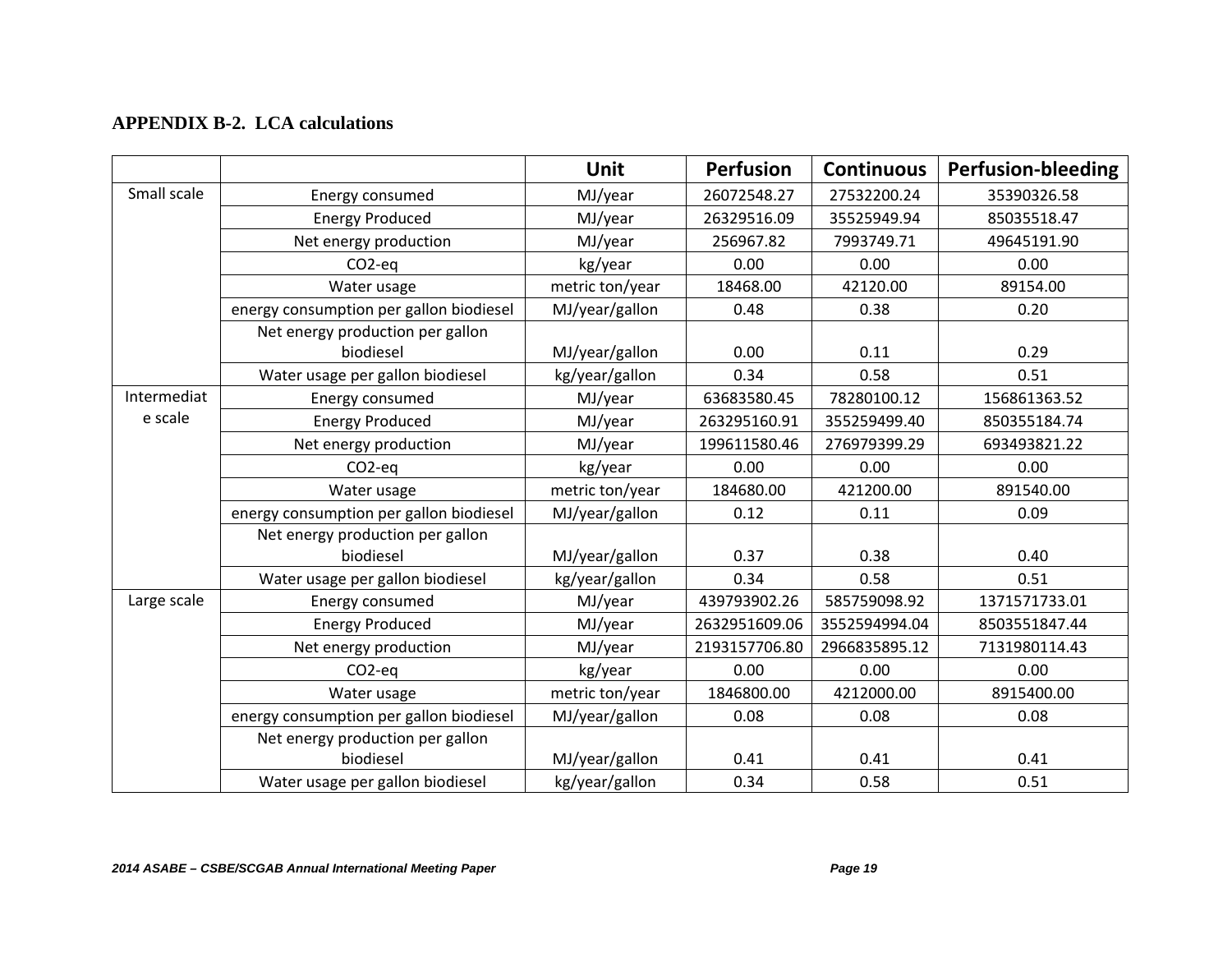## **APPENDIX B-2. LCA calculations**

|             |                                         | Unit            | <b>Perfusion</b> | <b>Continuous</b> | <b>Perfusion-bleeding</b> |
|-------------|-----------------------------------------|-----------------|------------------|-------------------|---------------------------|
| Small scale | Energy consumed                         | MJ/year         | 26072548.27      | 27532200.24       | 35390326.58               |
|             | <b>Energy Produced</b>                  | MJ/year         | 26329516.09      | 35525949.94       | 85035518.47               |
|             | Net energy production                   | MJ/year         | 256967.82        | 7993749.71        | 49645191.90               |
|             | CO <sub>2-eq</sub>                      | kg/year         | 0.00             | 0.00              | 0.00                      |
|             | Water usage                             | metric ton/year | 18468.00         | 42120.00          | 89154.00                  |
|             | energy consumption per gallon biodiesel | MJ/year/gallon  | 0.48             | 0.38              | 0.20                      |
|             | Net energy production per gallon        |                 |                  |                   |                           |
|             | biodiesel                               | MJ/year/gallon  | 0.00             | 0.11              | 0.29                      |
|             | Water usage per gallon biodiesel        | kg/year/gallon  | 0.34             | 0.58              | 0.51                      |
| Intermediat | Energy consumed                         | MJ/year         | 63683580.45      | 78280100.12       | 156861363.52              |
| e scale     | <b>Energy Produced</b>                  | MJ/year         | 263295160.91     | 355259499.40      | 850355184.74              |
|             | Net energy production                   | MJ/year         | 199611580.46     | 276979399.29      | 693493821.22              |
|             | $CO2$ -eq                               | kg/year         | 0.00             | 0.00              | 0.00                      |
|             | Water usage                             | metric ton/year | 184680.00        | 421200.00         | 891540.00                 |
|             | energy consumption per gallon biodiesel | MJ/year/gallon  | 0.12             | 0.11              | 0.09                      |
|             | Net energy production per gallon        |                 |                  |                   |                           |
|             | biodiesel                               | MJ/year/gallon  | 0.37             | 0.38              | 0.40                      |
|             | Water usage per gallon biodiesel        | kg/year/gallon  | 0.34             | 0.58              | 0.51                      |
| Large scale | Energy consumed                         | MJ/year         | 439793902.26     | 585759098.92      | 1371571733.01             |
|             | <b>Energy Produced</b>                  | MJ/year         | 2632951609.06    | 3552594994.04     | 8503551847.44             |
|             | Net energy production                   | MJ/year         | 2193157706.80    | 2966835895.12     | 7131980114.43             |
|             | CO <sub>2-eq</sub>                      | kg/year         | 0.00             | 0.00              | 0.00                      |
|             | Water usage                             | metric ton/year | 1846800.00       | 4212000.00        | 8915400.00                |
|             | energy consumption per gallon biodiesel | MJ/year/gallon  | 0.08             | 0.08              | 0.08                      |
|             | Net energy production per gallon        |                 |                  |                   |                           |
|             | biodiesel                               | MJ/year/gallon  | 0.41             | 0.41              | 0.41                      |
|             | Water usage per gallon biodiesel        | kg/year/gallon  | 0.34             | 0.58              | 0.51                      |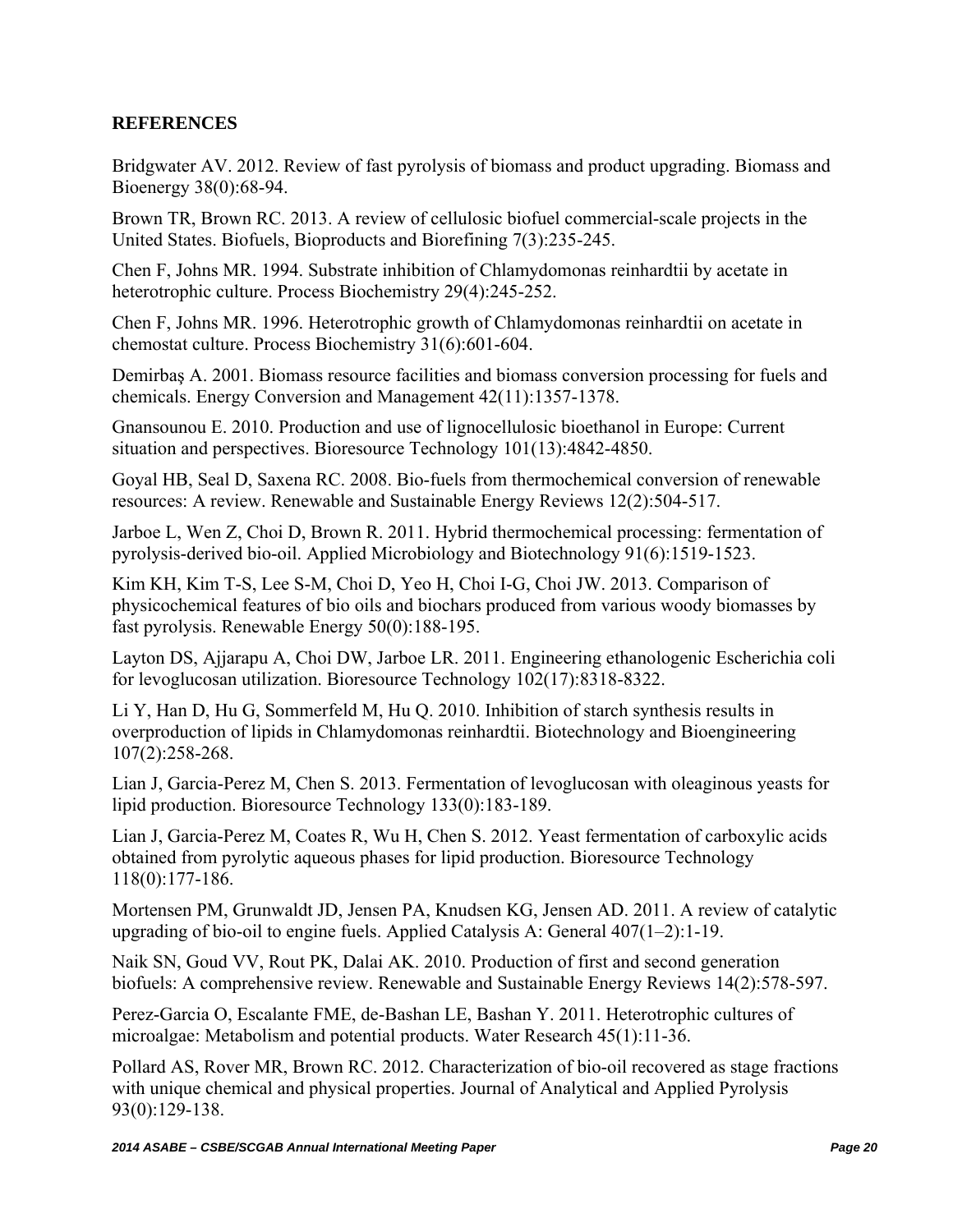## **REFERENCES**

Bridgwater AV. 2012. Review of fast pyrolysis of biomass and product upgrading. Biomass and Bioenergy 38(0):68-94.

Brown TR, Brown RC. 2013. A review of cellulosic biofuel commercial-scale projects in the United States. Biofuels, Bioproducts and Biorefining 7(3):235-245.

Chen F, Johns MR. 1994. Substrate inhibition of Chlamydomonas reinhardtii by acetate in heterotrophic culture. Process Biochemistry 29(4):245-252.

Chen F, Johns MR. 1996. Heterotrophic growth of Chlamydomonas reinhardtii on acetate in chemostat culture. Process Biochemistry 31(6):601-604.

Demirbaş A. 2001. Biomass resource facilities and biomass conversion processing for fuels and chemicals. Energy Conversion and Management 42(11):1357-1378.

Gnansounou E. 2010. Production and use of lignocellulosic bioethanol in Europe: Current situation and perspectives. Bioresource Technology 101(13):4842-4850.

Goyal HB, Seal D, Saxena RC. 2008. Bio-fuels from thermochemical conversion of renewable resources: A review. Renewable and Sustainable Energy Reviews 12(2):504-517.

Jarboe L, Wen Z, Choi D, Brown R. 2011. Hybrid thermochemical processing: fermentation of pyrolysis-derived bio-oil. Applied Microbiology and Biotechnology 91(6):1519-1523.

Kim KH, Kim T-S, Lee S-M, Choi D, Yeo H, Choi I-G, Choi JW. 2013. Comparison of physicochemical features of bio oils and biochars produced from various woody biomasses by fast pyrolysis. Renewable Energy 50(0):188-195.

Layton DS, Ajjarapu A, Choi DW, Jarboe LR. 2011. Engineering ethanologenic Escherichia coli for levoglucosan utilization. Bioresource Technology 102(17):8318-8322.

Li Y, Han D, Hu G, Sommerfeld M, Hu Q. 2010. Inhibition of starch synthesis results in overproduction of lipids in Chlamydomonas reinhardtii. Biotechnology and Bioengineering 107(2):258-268.

Lian J, Garcia-Perez M, Chen S. 2013. Fermentation of levoglucosan with oleaginous yeasts for lipid production. Bioresource Technology 133(0):183-189.

Lian J, Garcia-Perez M, Coates R, Wu H, Chen S. 2012. Yeast fermentation of carboxylic acids obtained from pyrolytic aqueous phases for lipid production. Bioresource Technology 118(0):177-186.

Mortensen PM, Grunwaldt JD, Jensen PA, Knudsen KG, Jensen AD. 2011. A review of catalytic upgrading of bio-oil to engine fuels. Applied Catalysis A: General 407(1–2):1-19.

Naik SN, Goud VV, Rout PK, Dalai AK. 2010. Production of first and second generation biofuels: A comprehensive review. Renewable and Sustainable Energy Reviews 14(2):578-597.

Perez-Garcia O, Escalante FME, de-Bashan LE, Bashan Y. 2011. Heterotrophic cultures of microalgae: Metabolism and potential products. Water Research 45(1):11-36.

Pollard AS, Rover MR, Brown RC. 2012. Characterization of bio-oil recovered as stage fractions with unique chemical and physical properties. Journal of Analytical and Applied Pyrolysis 93(0):129-138.